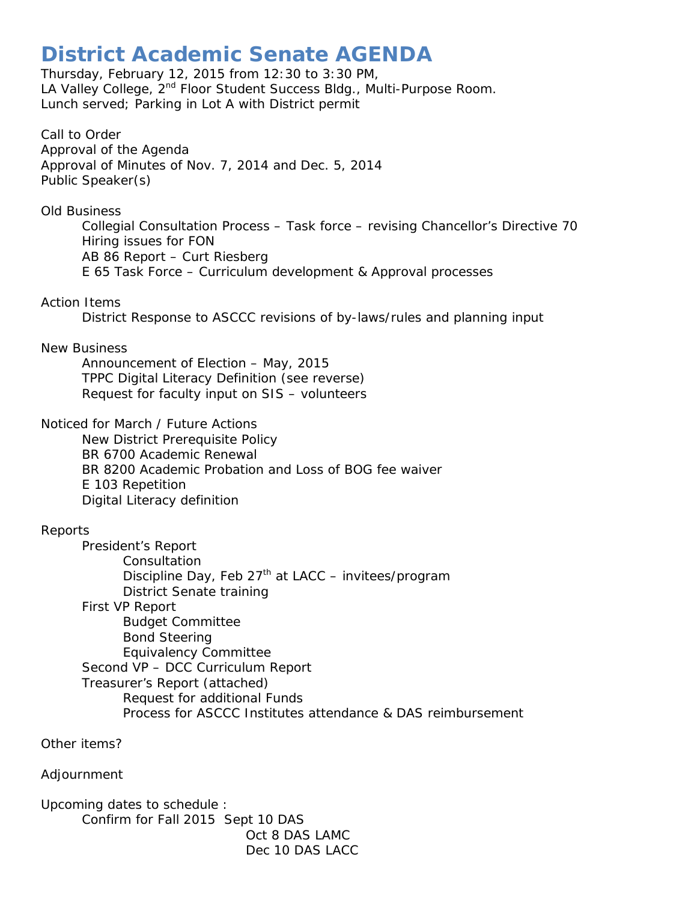## **District Academic Senate AGENDA**

Thursday, February 12, 2015 from 12:30 to 3:30 PM, LA Valley College, 2<sup>nd</sup> Floor Student Success Bldg., Multi-Purpose Room. Lunch served; Parking in Lot A with District permit

Call to Order Approval of the Agenda Approval of Minutes of Nov. 7, 2014 and Dec. 5, 2014 Public Speaker(s)

Old Business

Collegial Consultation Process – Task force – revising Chancellor's Directive 70 Hiring issues for FON AB 86 Report – Curt Riesberg E 65 Task Force – Curriculum development & Approval processes

## Action Items

District Response to ASCCC revisions of by-laws/rules and planning input

## New Business

Announcement of Election – May, 2015 TPPC Digital Literacy Definition (see reverse) Request for faculty input on SIS – volunteers

Noticed for March / Future Actions

New District Prerequisite Policy BR 6700 Academic Renewal BR 8200 Academic Probation and Loss of BOG fee waiver E 103 Repetition Digital Literacy definition

## Reports

President's Report **Consultation** Discipline Day, Feb  $27<sup>th</sup>$  at LACC – invitees/program District Senate training First VP Report Budget Committee Bond Steering Equivalency Committee Second VP – DCC Curriculum Report Treasurer's Report (attached) Request for additional Funds Process for ASCCC Institutes attendance & DAS reimbursement

Other items?

Adjournment

Upcoming dates to schedule : Confirm for Fall 2015 Sept 10 DAS Oct 8 DAS LAMC Dec 10 DAS LACC